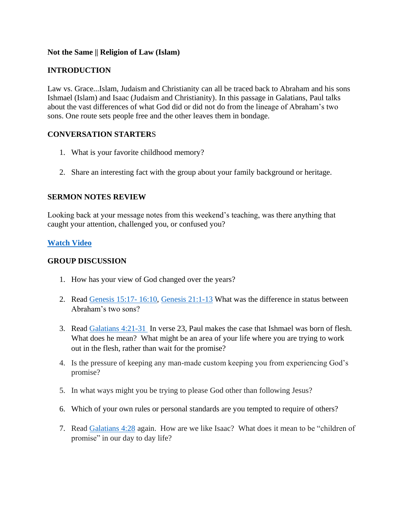### **Not the Same || Religion of Law (Islam)**

# **INTRODUCTION**

Law vs. Grace...Islam, Judaism and Christianity can all be traced back to Abraham and his sons Ishmael (Islam) and Isaac (Judaism and Christianity). In this passage in Galatians, Paul talks about the vast differences of what God did or did not do from the lineage of Abraham's two sons. One route sets people free and the other leaves them in bondage.

### **CONVERSATION STARTER**S

- 1. What is your favorite childhood memory?
- 2. Share an interesting fact with the group about your family background or heritage.

### **SERMON NOTES REVIEW**

Looking back at your message notes from this weekend's teaching, was there anything that caught your attention, challenged you, or confused you?

### **[Watch Video](https://www.youtube.com/watch?v=_TK4Fq5D8XM)**

#### **GROUP DISCUSSION**

- 1. How has your view of God changed over the years?
- 2. Read [Genesis 15:17-](https://www.biblegateway.com/passage/?search=Genesis+15%3A17-16%3A10+&version=NIV) 16:10, [Genesis 21:1-13](https://www.biblegateway.com/passage/?search=Genesis+21%3A1-13&version=NIV) What was the difference in status between Abraham's two sons?
- 3. Read [Galatians 4:21-31](https://www.biblegateway.com/passage/?search=Galatians%204%3A21-31&version=NIV) In verse 23, Paul makes the case that Ishmael was born of flesh. What does he mean? What might be an area of your life where you are trying to work out in the flesh, rather than wait for the promise?
- 4. Is the pressure of keeping any man-made custom keeping you from experiencing God's promise?
- 5. In what ways might you be trying to please God other than following Jesus?
- 6. Which of your own rules or personal standards are you tempted to require of others?
- 7. Read [Galatians 4:28](https://www.biblegateway.com/passage/?search=Galatians%204%3A28&version=NIV) again. How are we like Isaac? What does it mean to be "children of promise" in our day to day life?